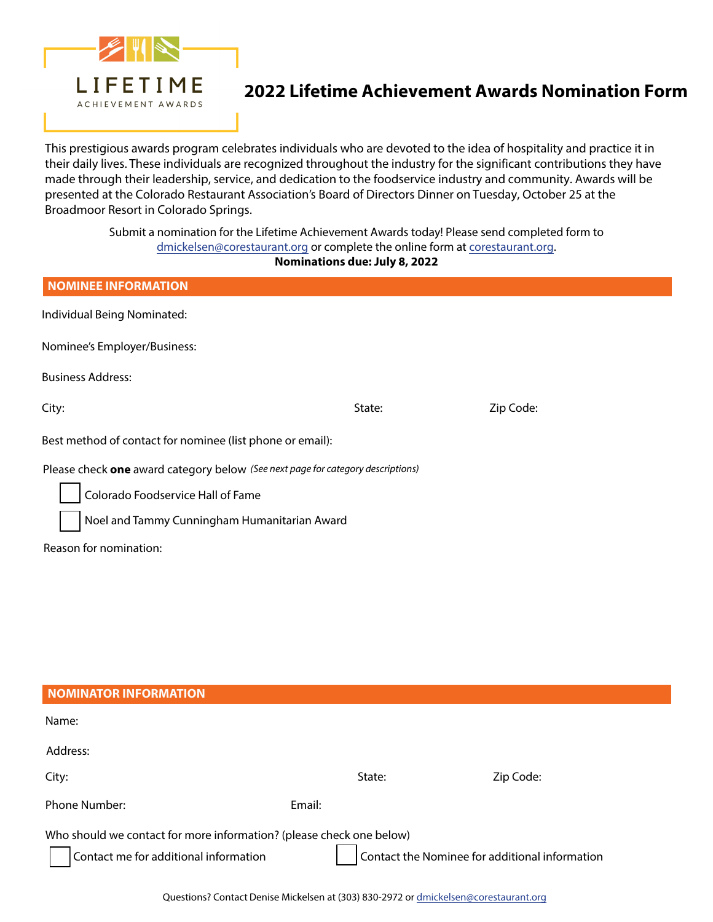

## **2022 Lifetime Achievement Awards Nomination Form**

This prestigious awards program celebrates individuals who are devoted to the idea of hospitality and practice it in their daily lives. These individuals are recognized throughout the industry for the significant contributions they have made through their leadership, service, and dedication to the foodservice industry and community. Awards will be presented at the Colorado Restaurant Association's Board of Directors Dinner on Tuesday, October 25 at the Broadmoor Resort in Colorado Springs.

> Submit a nomination for the Lifetime Achievement Awards today! Please send completed form to dmickelsen[@corestaurant.org or comp](mailto:tbachmann@corestaurant.org)lete the online form at co[restaurant.org.](http://www.corestaurant.org)

### **Nominations due: July 8, 2022**

| <b>NOMINEE INFORMATION</b>                                                      |        |           |  |  |
|---------------------------------------------------------------------------------|--------|-----------|--|--|
| Individual Being Nominated:                                                     |        |           |  |  |
| Nominee's Employer/Business:                                                    |        |           |  |  |
| <b>Business Address:</b>                                                        |        |           |  |  |
| City:                                                                           | State: | Zip Code: |  |  |
| Best method of contact for nominee (list phone or email):                       |        |           |  |  |
| Please check one award category below (See next page for category descriptions) |        |           |  |  |
| Colorado Foodservice Hall of Fame                                               |        |           |  |  |
| Noel and Tammy Cunningham Humanitarian Award                                    |        |           |  |  |
| Reason for nomination:                                                          |        |           |  |  |

| <b>NOMINATOR INFORMATION</b>                                                                                                                                    |        |        |           |  |
|-----------------------------------------------------------------------------------------------------------------------------------------------------------------|--------|--------|-----------|--|
| Name:                                                                                                                                                           |        |        |           |  |
| Address:                                                                                                                                                        |        |        |           |  |
| City:                                                                                                                                                           |        | State: | Zip Code: |  |
| <b>Phone Number:</b>                                                                                                                                            | Email: |        |           |  |
| Who should we contact for more information? (please check one below)<br>Contact the Nominee for additional information<br>Contact me for additional information |        |        |           |  |